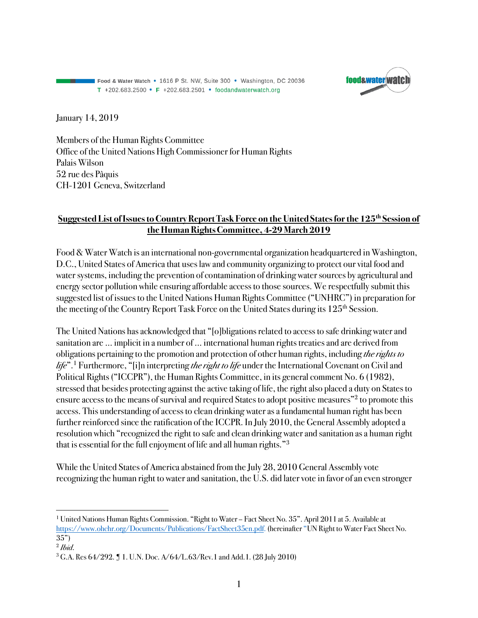Food & Water Watch • 1616 P St. NW, Suite 300 • Washington, DC 20036 T +202.683.2500 • F +202.683.2501 • foodandwaterwatch.org



January 14, 2019

Members of the Human Rights Committee Office of the United Nations High Commissioner for Human Rights Palais Wilson 52 rue des Pâquis CH-1201 Geneva, Switzerland

#### **Suggested List of Issues to Country Report Task Force on the United States for the 125th Session of the Human Rights Committee, 4-29 March 2019**

Food & Water Watch is an international non-governmental organization headquartered in Washington, D.C., United States of America that uses law and community organizing to protect our vital food and water systems, including the prevention of contamination of drinking water sources by agricultural and energy sector pollution while ensuring affordable access to those sources. We respectfully submit this suggested list of issues to the United Nations Human Rights Committee ("UNHRC") in preparation for the meeting of the Country Report Task Force on the United States during its 125<sup>th</sup> Session.

The United Nations has acknowledged that "[o]bligations related to access to safe drinking water and sanitation are … implicit in a number of … international human rights treaties and are derived from obligations pertaining to the promotion and protection of other human rights, including *the rights to life*".1 Furthermore, "[i]n interpreting *the right to life* under the International Covenant on Civil and Political Rights("ICCPR"), the Human Rights Committee, in its general comment No. 6 (1982), stressed that besides protecting against the active taking of life, the right also placed a duty on States to ensure access to the means of survival and required States to adopt positive measures"<sup>2</sup> to promote this access. This understanding of access to clean drinking water as a fundamental human right has been further reinforced since the ratification of the ICCPR. In July 2010, the General Assembly adopted a resolution which "recognized the right to safe and clean drinking water and sanitation as a human right that is essential for the full enjoyment of life and all human rights."3

While the United States of America abstained from the July 28, 2010 General Assembly vote recognizing the human right to water and sanitation, the U.S. did later vote in favor of an even stronger

 $\overline{a}$ 

<sup>1</sup> United Nations Human Rights Commission. "Right to Water – Fact Sheet No. 35". April 2011at 5. Available at https://www.ohchr.org/Documents/Publications/FactSheet35en.pdf. (hereinafter "UN Right to Water Fact Sheet No. 35")

<sup>2</sup> *Ibid*.

<sup>3</sup> G.A. Res 64/292. ¶ 1. U.N. Doc. A/64/L.63/Rev.1 and Add.1. (28 July 2010)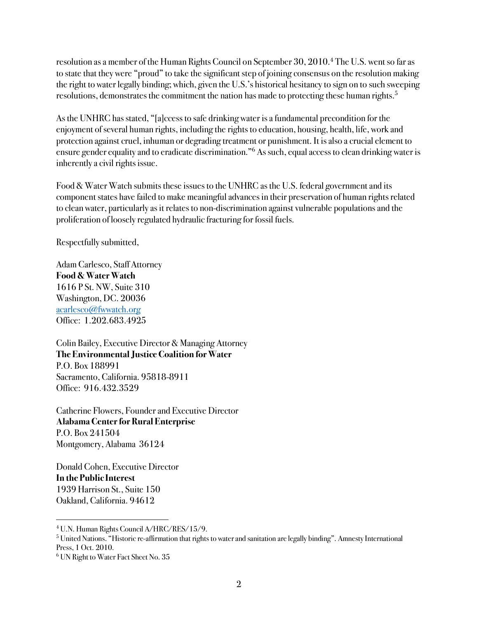resolution as a member of the Human Rights Council on September 30, 2010.4 The U.S. went so far as to state that they were "proud" to take the significant step of joining consensus on the resolution making the right to water legally binding; which, given the U.S.'s historical hesitancy to sign on to such sweeping resolutions, demonstrates the commitment the nation has made to protecting these human rights.<sup>5</sup>

As the UNHRC has stated, "[a]ccess to safe drinking water is a fundamental precondition for the enjoyment of several human rights, including the rights to education, housing, health, life, work and protection against cruel, inhuman or degrading treatment or punishment. It is also a crucial element to ensure gender equality and to eradicate discrimination."6 As such, equal access to clean drinking water is inherently a civil rights issue.

Food & Water Watch submits these issues to the UNHRC as the U.S. federal government and its component states have failed to make meaningful advances in their preservation of human rights related to clean water, particularly as it relates to non-discrimination against vulnerable populationsand the proliferation of loosely regulated hydraulic fracturing for fossil fuels.

Respectfully submitted,

Adam Carlesco, Staff Attorney **Food & Water Watch** 1616 P St. NW, Suite 310 Washington, DC. 20036 acarlesco@fwwatch.org Office: 1.202.683.4925

Colin Bailey, Executive Director & Managing Attorney **The Environmental Justice Coalition for Water** P.O. Box 188991 Sacramento, California. 95818-8911 Office: 916.432.3529

Catherine Flowers, Founder and Executive Director **Alabama Center for Rural Enterprise** P.O. Box 241504 Montgomery, Alabama 36124

Donald Cohen, Executive Director **In the Public Interest** 1939 Harrison St., Suite 150 Oakland, California. 94612

<sup>5</sup> United Nations. "Historic re-affirmation that rights to water and sanitation are legally binding". Amnesty International Press, 1 Oct. 2010.

 $\overline{a}$ <sup>4</sup> U.N. Human Rights Council A/HRC/RES/15/9.

<sup>6</sup> UN Right to Water Fact Sheet No. 35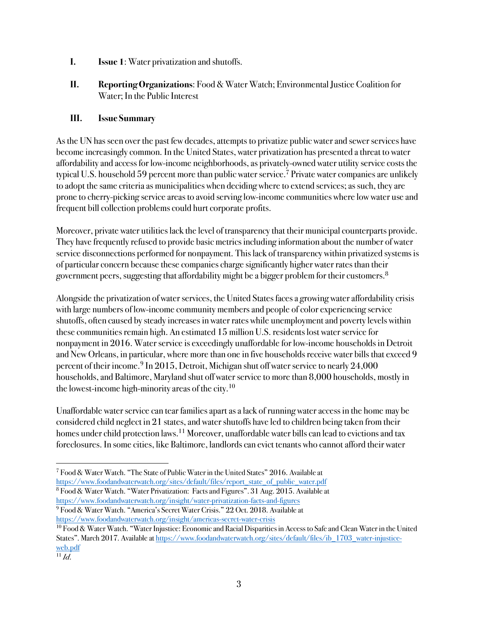- **I. Issue 1**: Water privatization and shutoffs.
- **II. Reporting Organizations**: Food & Water Watch; Environmental Justice Coalition for Water; In the Public Interest

As the UN has seen over the past few decades, attempts to privatize public water and sewer services have become increasingly common. In the United States, water privatization has presented a threat to water affordability and access for low-income neighborhoods, as privately-owned water utility service costs the typical U.S. household 59 percent more than public water service. <sup>7</sup> Private water companies are unlikely to adopt the same criteria as municipalities when deciding where to extend services; as such, they are prone to cherry-picking service areas to avoid serving low-income communities where low water use and frequent bill collection problems could hurt corporate profits.

Moreover, private water utilities lack the level of transparency that their municipal counterparts provide. They have frequently refused to provide basic metrics including information about the number of water service disconnections performed for nonpayment. This lack of transparency within privatized systems is of particular concern because these companies charge significantly higher water rates than their government peers, suggesting that affordability might be a bigger problem for their customers.<sup>8</sup>

Alongside the privatization of water services, the United States faces a growing water affordability crisis with large numbers of low-income community membersand people of color experiencing service shutoffs, often caused by steady increases in water rates while unemployment and poverty levels within these communities remain high. An estimated 15 million U.S. residents lost water service for nonpayment in 2016. Water service is exceedingly unaffordable for low-income households in Detroit and New Orleans, in particular, where more than one in five households receive water bills that exceed 9 percent of their income.<sup>9</sup> In 2015, Detroit, Michigan shut off water service to nearly  $24,000$ households, and Baltimore, Maryland shut off water service to more than 8,000 households, mostly in the lowest-income high-minority areas of the city.<sup>10</sup>

Unaffordable water service can tear families apartas a lack of running water access in the home may be considered child neglect in 21 states, and water shutoffs have led to children being taken from their homes under child protection laws.<sup>11</sup> Moreover, unaffordable water bills can lead to evictions and tax foreclosures. In some cities, like Baltimore, landlords can evict tenants who cannot afford their water

 $\overline{a}$ <sup>7</sup> Food & Water Watch. "The State of Public Water in the United States" 2016. Available at https://www.foodandwaterwatch.org/sites/default/files/report\_state\_of\_public\_water.pdf

<sup>8</sup> Food & Water Watch. "Water Privatization: Facts and Figures". 31 Aug. 2015. Available at https://www.foodandwaterwatch.org/insight/water-privatization-facts-and-figures

<sup>9</sup> Food & Water Watch. "America's Secret Water Crisis." 22 Oct. 2018. Available at https://www.foodandwaterwatch.org/insight/americas-secret-water-crisis

<sup>&</sup>lt;sup>10</sup> Food & Water Watch. "Water Injustice: Economic and Racial Disparities in Access to Safe and Clean Water in the United States". March 2017. Available at https://www.foodandwaterwatch.org/sites/default/files/ib\_1703\_water-injusticeweb.pdf

 $\overline{11}$ *Id.*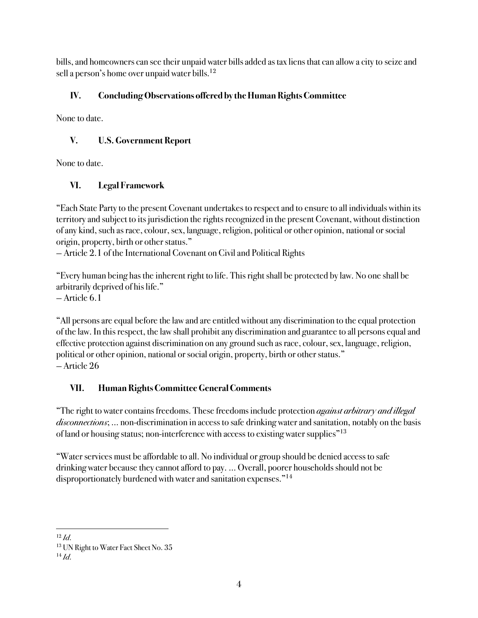bills, and homeowners can see their unpaid water bills added as tax liens that can allow a city to seize and sell a person's home over unpaid water bills.12

## **IV. Concluding Observations offered by the Human Rights Committee**

None to date.

# **V. U.S. Government Report**

None to date.

# **VI. Legal Framework**

"Each State Party to the present Covenant undertakes to respect and to ensure to all individuals within its territory and subject to its jurisdiction the rights recognized in the present Covenant, without distinction of any kind, such as race, colour, sex, language, religion, political or other opinion, national or social origin, property, birth or other status."

— Article 2.1 of the International Covenant on Civil and Political Rights

"Every human being has the inherent right to life. This right shall be protected by law. No one shall be arbitrarily deprived of his life."

— Article 6.1

"All persons are equal before the law and are entitled without any discrimination to the equal protection of the law. In this respect, the law shall prohibit any discrimination and guarantee to all persons equal and effective protection against discrimination on any ground such as race, colour, sex, language, religion, political or other opinion, national or social origin, property, birth or other status." — Article 26

# **VII. HumanRights Committee General Comments**

"The right to water contains freedoms. These freedoms include protection *against arbitrary and illegal disconnections*; … non-discrimination in access to safe drinking water and sanitation, notably on the basis of land or housing status; non-interference with access to existing water supplies"13

"Water services must be affordable to all. No individual or group should be denied access to safe drinking water because they cannot afford to pay. … Overall, poorer households should not be disproportionately burdened with water and sanitation expenses."14

 $\overline{a}$  $12$  *Id.* 

<sup>13</sup> UN Right to Water Fact Sheet No. 35

 $^{14}$  *Id.*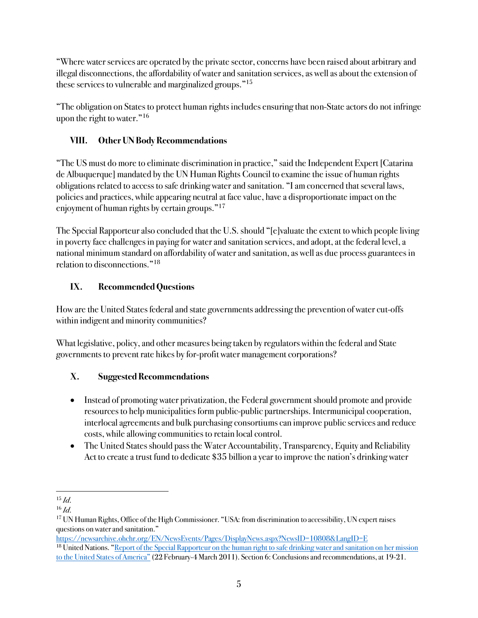"Where water services are operated by the private sector, concerns have been raised about arbitrary and illegal disconnections, the affordability of water and sanitation services, as well as about the extension of these services to vulnerable and marginalized groups."15

"The obligation on States to protect human rights includes ensuring that non-State actors do not infringe upon the right to water."16

### **VIII. Other UN Body Recommendations**

"The US must do more to eliminate discrimination in practice," said the Independent Expert [Catarina de Albuquerque] mandated by the UN Human Rights Council to examine the issue of human rights obligations related to access to safe drinking water and sanitation. "I am concerned that several laws, policies and practices, while appearing neutral at face value, have a disproportionate impact on the enjoyment of human rights by certain groups."17

The Special Rapporteur also concluded that the U.S. should "[e]valuate the extent to which people living in poverty face challenges in paying for water and sanitation services, and adopt, at the federal level, a national minimum standard on affordability of water and sanitation, as well as due process guarantees in relation to disconnections."18

## **IX. Recommended Questions**

How are the United States federal and state governments addressing the prevention of water cut-offs within indigent and minority communities?

What legislative, policy, and other measures being taken by regulators within the federal and State governments to prevent rate hikes by for-profit water management corporations?

- Instead of promoting water privatization, the Federal government should promote and provide resources to help municipalities form public-public partnerships. Intermunicipal cooperation, interlocal agreements and bulk purchasing consortiums can improve public services and reduce costs, while allowing communities to retain local control.
- The United States should pass the Water Accountability, Transparency, Equity and Reliability Act to create a trust fund to dedicate \$35 billion a year to improve the nation's drinking water

 $\overline{a}$ <sup>15</sup> *Id*.

<sup>16</sup> *Id*.

<sup>&</sup>lt;sup>17</sup> UN Human Rights, Office of the High Commissioner. "USA: from discrimination to accessibility, UN expert raises questions on water and sanitation."

https://newsarchive.ohchr.org/EN/NewsEvents/Pages/DisplayNews.aspx?NewsID=10808&LangID=E <sup>18</sup> United Nations. "Report of the Special Rapporteur on the human right to safe drinking water and sanitation on her mission to the United States of America" (22 February-4 March 2011). Section 6: Conclusions and recommendations, at 19-21.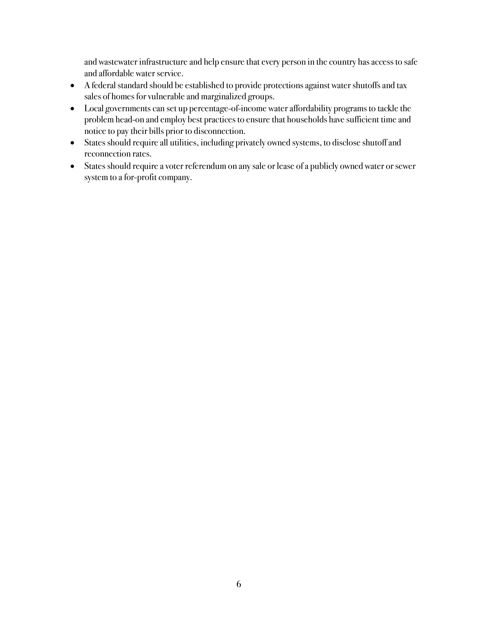and wastewater infrastructure and help ensure that every person in the country has access to safe and affordable water service.

- A federal standard should be established to provide protections against water shutoffs and tax sales of homes for vulnerable and marginalized groups.
- Local governments can set up percentage-of-income water affordability programs to tackle the problem head-on and employ best practices to ensure that households have sufficient time and notice to pay their bills prior to disconnection.
- States should require all utilities, including privately owned systems, to disclose shutoff and reconnection rates.
- States should require a voter referendum on any sale or lease of a publicly owned water or sewer system to a for-profit company.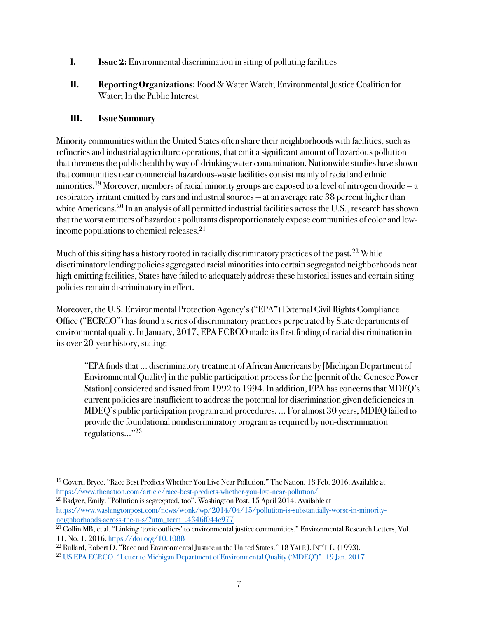- **I. Issue 2:** Environmental discrimination in siting of polluting facilities
- **II. Reporting Organizations:** Food & Water Watch; Environmental Justice Coalition for Water; In the Public Interest

Minority communities within the United States often share their neighborhoods with facilities, such as refineries and industrial agriculture operations, that emit a significant amount of hazardous pollution that threatens the public health by way of drinking water contamination. Nationwide studies have shown that communities near commercial hazardous-waste facilities consist mainly of racial and ethnic minorities. <sup>19</sup> Moreover, members of racial minority groupsare exposed to a level of nitrogen dioxide — a respiratory irritant emitted by cars and industrial sources — at an average rate 38 percent higher than white Americans.<sup>20</sup> In an analysis of all permitted industrial facilities across the U.S., research has shown that the worst emitters of hazardous pollutants disproportionately expose communities of color and lowincome populations to chemical releases.<sup>21</sup>

Much of this siting has a history rooted in racially discriminatory practices of the past.<sup>22</sup> While discriminatory lending policies aggregated racial minorities into certain segregated neighborhoods near high emitting facilities, States have failed to adequately address these historical issues and certain siting policies remain discriminatory in effect.

Moreover, the U.S. Environmental Protection Agency's ("EPA") External Civil Rights Compliance Office ("ECRCO") has found a series of discriminatory practices perpetrated by State departments of environmental quality. In January, 2017, EPA ECRCO made its first finding of racial discrimination in its over 20-year history, stating:

"EPA finds that … discriminatory treatment of African Americans by [Michigan Department of Environmental Quality] in the public participation process for the [permit of the Genesee Power Station] considered and issued from 1992 to 1994. In addition, EPA has concerns that MDEQ's current policies are insufficient to address the potential for discrimination given deficiencies in MDEQ's public participation program and procedures. … For almost 30 years, MDEQ failed to provide the foundational nondiscriminatory program as required by non-discrimination regulations…"23

<sup>20</sup> Badger, Emily. "Pollution is segregated, too". Washington Post. 15 April 2014. Available at https://www.washingtonpost.com/news/wonk/wp/2014/04/15/pollution-is-substantially-worse-in-minorityneighborhoods-across-the-u-s/?utm\_term=.4346f044c977

 $\overline{a}$ <sup>19</sup> Covert, Bryce. "Race Best Predicts Whether You Live Near Pollution." The Nation. 18 Feb. 2016. Available at https://www.thenation.com/article/race-best-predicts-whether-you-live-near-pollution/

 $^{21}$  Collin MB, et al. "Linking 'toxic outliers' to environmental justice communities." Environmental Research Letters, Vol. 11, No. 1. 2016. https://doi.org/10.1088

<sup>&</sup>lt;sup>22</sup> Bullard, Robert D. "Race and Environmental Justice in the United States." 18 YALE J. INT'L L. (1993).

<sup>23</sup> US EPA ECRCO. "Letter to Michigan Department of Environmental Quality ('MDEQ')". 19 Jan. 2017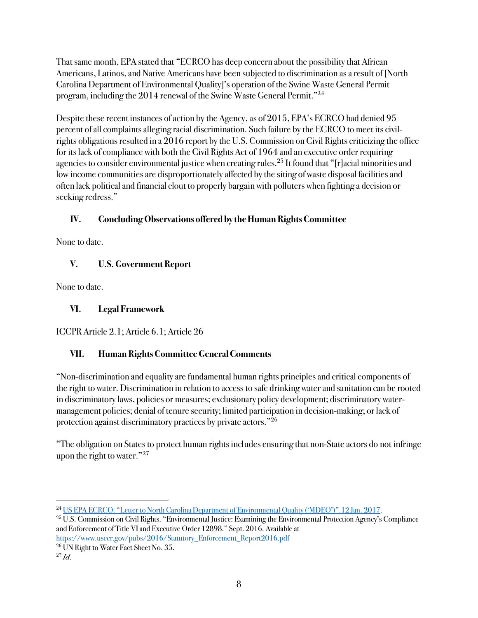That same month, EPA stated that "ECRCO has deep concern about the possibility that African Americans, Latinos, and Native Americans have been subjected to discrimination as a result of [North Carolina Department of Environmental Quality]'s operation of the Swine Waste General Permit program, including the 2014 renewal of the Swine Waste General Permit."24

Despite these recent instances of action by the Agency, as of 2015, EPA's ECRCO had denied 95 percent of all complaints alleging racial discrimination. Such failure by the ECRCO to meet its civilrights obligations resulted in a 2016 report by the U.S. Commission on Civil Rights criticizing the office for its lack of compliance with both the Civil Rights Act of 1964 and an executive order requiring agencies to consider environmental justice when creating rules.<sup>25</sup> It found that "[r]acial minorities and low income communities are disproportionately affected by the siting of waste disposal facilities and often lack political and financial clout to properly bargain with polluters when fighting a decision or seeking redress."

### **IV. Concluding Observations offered by the Human Rights Committee**

None to date.

### **V. U.S. Government Report**

None to date.

### **VI. Legal Framework**

ICCPR Article 2.1; Article 6.1; Article 26

### **VII. Human Rights Committee General Comments**

"Non-discrimination and equality are fundamental human rights principles and critical components of the right to water. Discrimination in relation to access to safe drinking water and sanitation can be rooted in discriminatory laws, policies or measures; exclusionary policy development; discriminatory watermanagement policies; denial of tenure security; limited participation in decision-making; or lack of protection against discriminatory practices by private actors."26

"The obligation on States to protect human rights includes ensuring that non-State actors do not infringe upon the right to water."<sup>27</sup>

 $\overline{a}$ <sup>24</sup> US EPA ECRCO. "Letter to North Carolina Department of Environmental Quality ('MDEQ')".12 Jan. 2017.

<sup>&</sup>lt;sup>25</sup> U.S. Commission on Civil Rights. "Environmental Justice: Examining the Environmental Protection Agency's Compliance and Enforcement of Title VI and Executive Order 12898." Sept. 2016. Available at

https://www.usccr.gov/pubs/2016/Statutory\_Enforcement\_Report2016.pdf

<sup>26</sup> UN Right to Water Fact Sheet No. 35.

 $^{27}$  *Id.*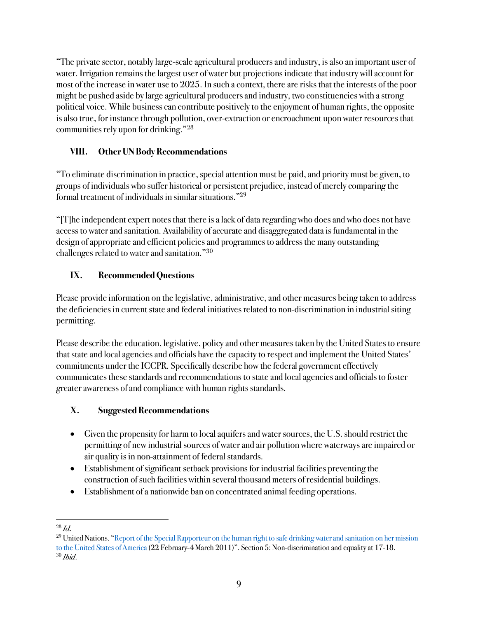"The private sector, notably large-scale agricultural producers and industry, is also an important user of water. Irrigation remains the largest user of water but projections indicate that industry will account for most of the increase in water use to 2025. In such a context, there are risks that the interests of the poor might be pushed aside by large agricultural producers and industry, two constituencies with a strong political voice. While business can contribute positively to the enjoyment of human rights, the opposite is also true, for instance through pollution, over-extraction or encroachment upon water resources that communities rely upon for drinking."28

### **VIII. Other UN Body Recommendations**

"To eliminate discrimination in practice, special attention must be paid, and priority must be given, to groups of individuals who suffer historical or persistent prejudice, instead of merely comparing the formal treatment of individuals in similar situations."29

"[T]he independent expert notes that there is a lack of data regarding who does and who does not have access to water and sanitation. Availability of accurate and disaggregated data is fundamental in the design of appropriate and efficient policies and programmesto address the many outstanding challenges related to water and sanitation."30

## **IX. Recommended Questions**

Please provide information on the legislative, administrative, and other measures being taken to address the deficiencies in current state and federal initiatives related to non-discrimination in industrial siting permitting.

Please describe the education, legislative, policy and other measures taken by the United States to ensure that state and local agencies and officials have the capacity to respect and implement the United States' commitments under the ICCPR. Specifically describe how the federal government effectively communicates these standards and recommendations to state and local agenciesand officials to foster greater awareness of and compliance with human rights standards.

- Given the propensity for harm to local aquifers and water sources, the U.S. should restrict the permitting of new industrial sources of water and air pollution where waterways are impaired or air quality is in non-attainment of federal standards.
- Establishment of significant setback provisions for industrial facilities preventing the construction of such facilities within several thousand meters of residential buildings.
- Establishment of a nationwide ban on concentrated animal feeding operations.

 $\overline{a}$ <sup>28</sup> *Id*.

<sup>&</sup>lt;sup>29</sup> United Nations. "Report of the Special Rapporteur on the human right to safe drinking water and sanitation on her mission to the United States of America(22 February-4 March 2011)". Section 5: Non-discrimination and equality at 17-18. <sup>30</sup> *Ibid*.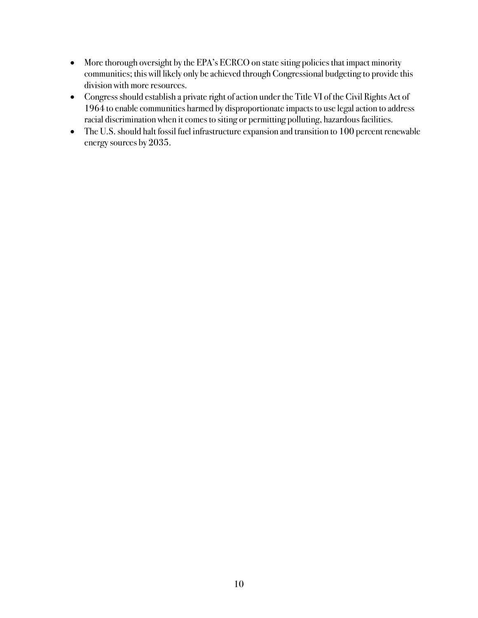- More thorough oversight by the EPA's ECRCO on state siting policies that impact minority communities; this will likely only be achieved through Congressional budgeting to provide this division with more resources.
- Congress should establish a private right of action under the Title VI of the Civil Rights Act of 1964 to enable communities harmed by disproportionate impacts to use legal action to address racial discrimination when it comes to siting or permitting polluting, hazardous facilities.
- The U.S. should halt fossil fuel infrastructure expansion and transition to 100 percent renewable energy sources by 2035.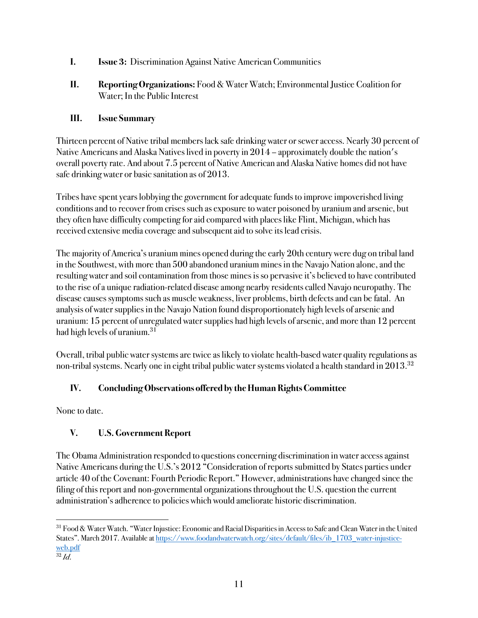- **I. Issue 3:** Discrimination Against Native American Communities
- **II. Reporting Organizations:** Food & Water Watch; Environmental Justice Coalition for Water; In the Public Interest

Thirteen percent of Native tribal members lack safe drinking water or sewer access. Nearly 30 percent of Native Americans and Alaska Natives lived in poverty in 2014 – approximately double the nation's overall poverty rate. And about 7.5 percent of Native American and Alaska Native homes did not have safe drinking water or basic sanitation as of 2013.

Tribes have spent years lobbying the government for adequate funds to improve impoverished living conditions and to recover from crises such as exposure to water poisoned by uranium and arsenic, but they often have difficulty competing for aid compared with places like Flint, Michigan, which has received extensive media coverage and subsequent aid to solve its lead crisis.

The majority of America's uranium mines opened during the early 20th century were dug on tribal land in the Southwest, with more than 500 abandoned uranium mines in the Navajo Nation alone, and the resulting water and soil contamination from those mines is so pervasive it's believed to have contributed to the rise of a unique radiation-related disease among nearby residents called Navajo neuropathy. The disease causes symptoms such as muscle weakness, liver problems, birth defectsand can be fatal. An analysis of water supplies in the Navajo Nation found disproportionately high levels of arsenic and uranium: 15 percent of unregulated water supplies had high levels of arsenic, and more than 12 percent had high levels of uranium.<sup>31</sup>

Overall, tribal public water systems are twice as likely to violate health-based water quality regulations as non-tribal systems. Nearly one in eight tribal public water systems violated a health standard in 2013.<sup>32</sup>

### **IV. Concluding Observations offered by the Human Rights Committee**

None to date.

### **V. U.S. Government Report**

The Obama Administration responded to questions concerning discrimination in water access against Native Americans during the U.S.'s 2012 "Consideration of reports submitted by States parties under article 40 of the Covenant: Fourth Periodic Report." However, administrations have changed since the filing of this report and non-governmental organizations throughout the U.S. question the current administration's adherence to policies which would ameliorate historic discrimination.

 $\overline{a}$ <sup>31</sup> Food & Water Watch. "Water Injustice: Economic and Racial Disparities in Access to Safe and Clean Water in the United States". March 2017. Available at https://www.foodandwaterwatch.org/sites/default/files/ib\_1703\_water-injusticeweb.pdf

 $\overline{\overline{32}}\overline{Id}$ .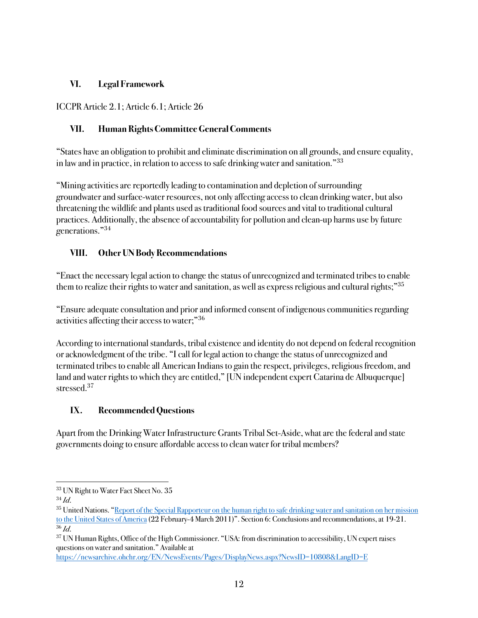#### **VI. Legal Framework**

ICCPR Article 2.1; Article 6.1; Article 26

#### **VII. Human Rights Committee General Comments**

"States have an obligation to prohibit and eliminate discrimination on all grounds, and ensure equality, in law and in practice, in relation to access to safe drinking water and sanitation."33

"Mining activities are reportedly leading to contamination and depletion of surrounding groundwater and surface-water resources, not only affecting access to clean drinking water, but also threatening the wildlife and plants used as traditional food sources and vital to traditional cultural practices. Additionally, the absence of accountability for pollution and clean-up harms use by future generations."34

#### **VIII. Other UN Body Recommendations**

"Enact the necessary legal action to change the status of unrecognized and terminated tribes to enable them to realize their rights to water and sanitation, as well as express religious and cultural rights;"<sup>35</sup>

"Ensure adequate consultation and prior and informed consent of indigenous communities regarding activities affecting their access to water;"36

According to international standards, tribal existence and identity do not depend on federal recognition or acknowledgment of the tribe. "I call for legal action to change the status of unrecognized and terminated tribes to enable all American Indians to gain the respect, privileges, religious freedom, and land and water rights to which they are entitled," [UN independent expert Catarina de Albuquerque] stressed<sup>37</sup>

#### **IX. Recommended Questions**

Apart from the Drinking Water Infrastructure Grants Tribal Set-Aside, what are the federal and state governments doing to ensure affordable accessto clean water for tribal members?

 $\overline{a}$ 

https://newsarchive.ohchr.org/EN/NewsEvents/Pages/DisplayNews.aspx?NewsID=10808&LangID=E

<sup>33</sup> UN Right to Water Fact Sheet No. 35

<sup>34</sup> *Id*.

<sup>&</sup>lt;sup>35</sup> United Nations. "Report of the Special Rapporteur on the human right to safe drinking water and sanitation on her mission to the United States of America(22 February-4 March 2011)". Section 6: Conclusions and recommendations, at 19-21. <sup>36</sup> *Id*.

<sup>&</sup>lt;sup>37</sup> UN Human Rights, Office of the High Commissioner. "USA: from discrimination to accessibility, UN expert raises questions on water and sanitation." Available at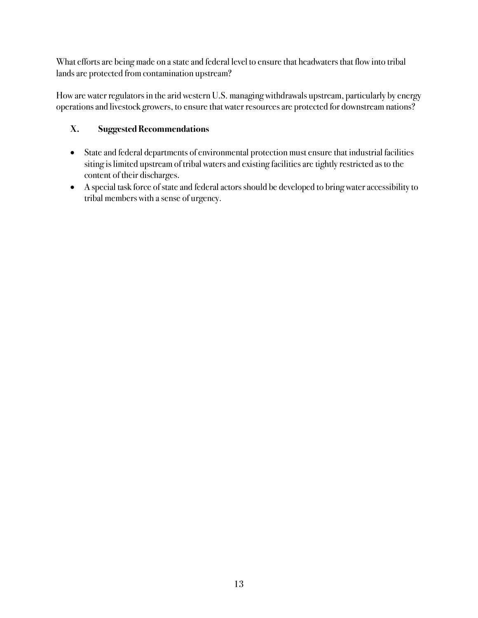What efforts are being made on a state and federal level to ensure that headwaters that flow into tribal lands are protected from contamination upstream?

How are water regulators in the arid western U.S. managing withdrawals upstream, particularly by energy operations and livestock growers, to ensure that water resources are protected for downstream nations?

- State and federal departments of environmental protection must ensure that industrial facilities siting is limited upstream of tribal waters and existing facilities are tightly restricted as to the content of their discharges.
- A special task force of state and federal actors should be developed to bring water accessibility to tribal members with a sense of urgency.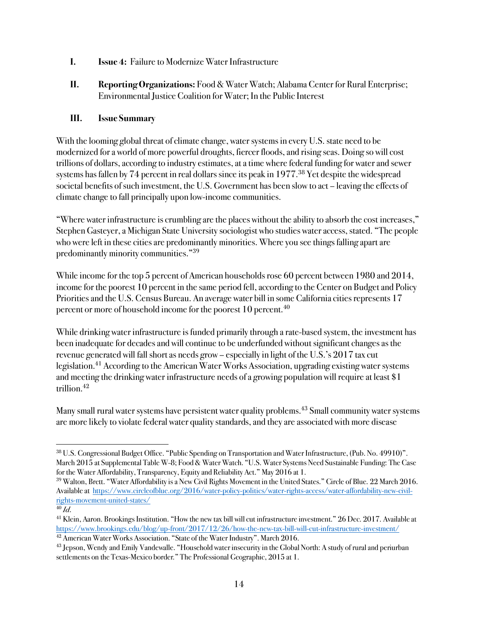- **I. Issue 4:** Failure to Modernize Water Infrastructure
- **II. Reporting Organizations:** Food & Water Watch; Alabama Center for Rural Enterprise; Environmental Justice Coalition for Water; In the Public Interest

With the looming global threat of climate change, water systems in every U.S. state need to be modernized for a world of more powerful droughts, fiercer floods, and rising seas. Doing so will cost trillions of dollars, according to industry estimates, at a time where federal funding for water and sewer systems has fallen by 74 percent in real dollars since its peak in 1977.<sup>38</sup> Yet despite the widespread societal benefits of such investment, the U.S. Government has been slow to act – leaving the effects of climate change to fall principally upon low-income communities.

"Where water infrastructure is crumbling are the places without the ability to absorb the cost increases," Stephen Gasteyer, a Michigan State University sociologist who studies water access, stated. "The people who were left in these cities are predominantly minorities. Where you see things falling apart are predominantly minority communities."39

While income for the top 5 percent of American households rose 60 percent between 1980 and 2014, income for the poorest 10 percent in the same period fell, according to the Center on Budget and Policy Priorities and the U.S. Census Bureau. An average water bill in some California cities represents 17 percent or more of household income for the poorest 10 percent.<sup>40</sup>

While drinking water infrastructure is funded primarily through a rate-based system, the investment has been inadequate for decades and will continue to be underfunded without significant changes as the revenue generated will fall short as needs grow – especially in light of the U.S.'s 2017 tax cut legislation. <sup>41</sup> According to the American Water Works Association, upgrading existing water systems and meeting the drinking water infrastructure needs of a growing population will require at least \$1 trillion.42

Many small rural water systems have persistent water quality problems.<sup>43</sup> Small community water systems are more likely to violate federal water quality standards, and they are associated with more disease

 $\overline{a}$ <sup>38</sup> U.S. Congressional Budget Office. "Public Spending on Transportation and Water Infrastructure, (Pub. No. 49910)". March 2015 at Supplemental Table W-8; Food & Water Watch. "U.S. Water Systems Need Sustainable Funding: The Case for the Water Affordability, Transparency, Equity and Reliability Act." May 2016 at 1.

<sup>39</sup> Walton, Brett. "Water Affordability is a New Civil Rights Movement in the United States." Circle of Blue. 22 March 2016. Available at https://www.circleofblue.org/2016/water-policy-politics/water-rights-access/water-affordability-new-civilrights-movement-united-states/

<sup>40</sup> *Id*.

<sup>&</sup>lt;sup>41</sup> Klein, Aaron. Brookings Institution. "How the new tax bill will cut infrastructure investment." 26 Dec. 2017. Available at https://www.brookings.edu/blog/up-front/2017/12/26/how-the-new-tax-bill-will-cut-infrastructure-investment/ <sup>42</sup> American Water Works Association. "State of the Water Industry". March 2016.

 $^{43}$  Jepson, Wendy and Emily Vandewalle. "Household water insecurity in the Global North: A study of rural and periurban settlements on the Texas-Mexico border*.*" The Professional Geographic, 2015 at 1.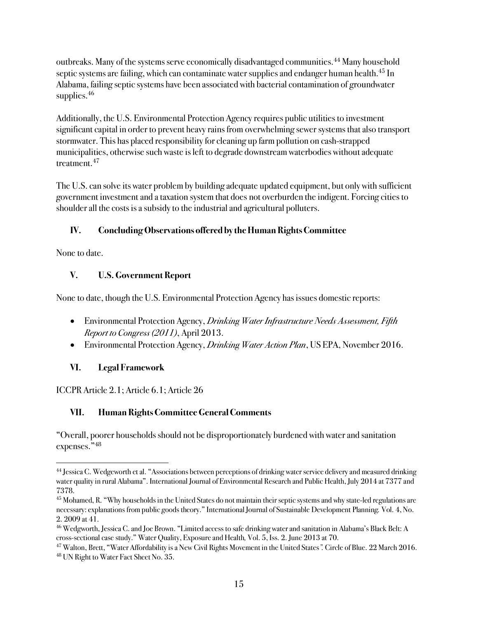outbreaks. Many of the systems serve economically disadvantaged communities.<sup>44</sup> Many household septic systems are failing, which can contaminate water supplies and endanger human health.<sup>45</sup> In Alabama, failing septic systems have been associated with bacterial contamination of groundwater supplies.<sup>46</sup>

Additionally, the U.S. Environmental Protection Agency requires public utilities to investment significant capital in order to prevent heavy rains from overwhelming sewer systems that also transport stormwater. This has placed responsibility for cleaning up farm pollution on cash-strapped municipalities, otherwise such waste is left to degrade downstream waterbodies without adequate treatment. 47

The U.S. can solve its water problem by building adequate updated equipment, but only with sufficient government investment and a taxation system that does not overburden the indigent. Forcing cities to shoulder all the costs is a subsidy to the industrial and agricultural polluters.

### **IV. Concluding Observations offered by the Human Rights Committee**

None to date.

 $\overline{a}$ 

### **V. U.S. Government Report**

None to date, though the U.S. Environmental Protection Agency has issues domestic reports:

- Environmental Protection Agency, *Drinking Water Infrastructure Needs Assessment, Fifth Report to Congress (2011)*, April 2013.
- Environmental Protection Agency, *Drinking Water Action Plan*, US EPA, November 2016.

### **VI. Legal Framework**

ICCPR Article 2.1; Article 6.1; Article 26

# **VII. Human Rights Committee General Comments**

"Overall, poorer households should not be disproportionately burdened with water and sanitation expenses."48

<sup>&</sup>lt;sup>44</sup> Jessica C. Wedgeworth et al. "Associations between perceptions of drinking water service delivery and measured drinking water quality in rural Alabama". International Journal of Environmental Research and Public Health, July 2014 at 7377 and 7378.

<sup>&</sup>lt;sup>45</sup> Mohamed, R. "Why households in the United States do not maintain their septic systems and why state-led regulations are necessary: explanations from public goods theory." International Journal of Sustainable Development Planning*.* Vol. 4, No. 2. 2009 at 41.

<sup>46</sup> Wedgworth, Jessica C.and Joe Brown. "Limited access to safe drinking water and sanitation in Alabama's Black Belt: A cross-sectional case study." Water Quality, Exposure and Health*,* Vol. 5, Iss. 2. June 2013 at 70.

<sup>47</sup> Walton, Brett, "Water Affordability is a New Civil Rights Movement in the United States*".* Circle of Blue. 22 March 2016. <sup>48</sup> UN Right to Water Fact Sheet No. 35.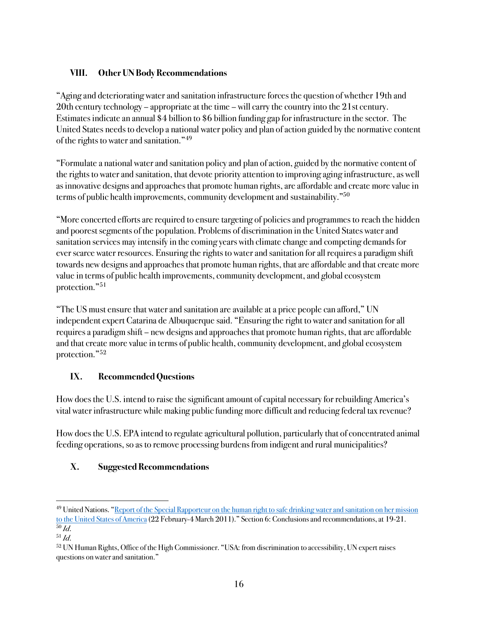### **VIII. Other UN Body Recommendations**

"Aging and deteriorating water and sanitation infrastructure forces the question of whether 19th and 20th century technology – appropriate at the time – will carry the country into the 21st century. Estimates indicate an annual \$4 billion to \$6 billion funding gap for infrastructure in the sector. The United States needs to develop a national water policy and plan of action guided by the normative content of the rights to water and sanitation."49

"Formulate a national water and sanitation policy and plan of action, guided by the normative content of the rights to water and sanitation, that devote priority attention to improving aging infrastructure, as well as innovative designs and approaches that promote human rights, are affordable and create more value in terms of public health improvements, community development and sustainability."50

"More concerted efforts are required to ensure targeting of policies and programmesto reach the hidden and poorest segments of the population. Problems of discrimination in the United States water and sanitation services may intensify in the coming years with climate change and competing demands for ever scarce water resources. Ensuring the rights to water and sanitation for all requires a paradigm shift towards new designs and approaches that promote human rights, that are affordable and that create more value in terms of public health improvements, community development, and global ecosystem protection."51

"The US must ensure that water and sanitation are available at a price people can afford," UN independent expert Catarina de Albuquerque said. "Ensuring the right to water and sanitation for all requires a paradigm shift – new designs and approaches that promote human rights, that are affordable and that create more value in terms of public health, community development, and global ecosystem protection."52

### **IX. Recommended Questions**

How does the U.S. intend to raise the significant amount of capital necessary for rebuilding America's vital water infrastructure while making public funding more difficultand reducing federal tax revenue?

How does the U.S. EPA intend to regulate agricultural pollution, particularly that of concentrated animal feeding operations, so as to remove processing burdens from indigent and rural municipalities?

### **X. Suggested Recommendations**

 $\overline{a}$ 

<sup>&</sup>lt;sup>49</sup> United Nations. "Report of the Special Rapporteur on the human right to safe drinking water and sanitation on her mission to the United States of America (22 February-4 March 2011)." Section 6: Conclusions and recommendations, at 19-21. <sup>50</sup> *Id*.

<sup>51</sup> *Id*.

<sup>&</sup>lt;sup>52</sup> UN Human Rights, Office of the High Commissioner. "USA: from discrimination to accessibility, UN expert raises questions on water and sanitation."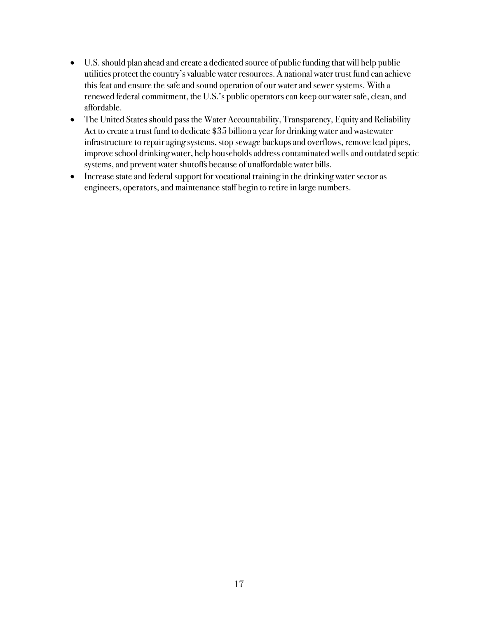- U.S. should plan ahead and create a dedicated source of public funding that will help public utilities protect the country's valuable water resources. A national water trust fund can achieve this feat and ensure the safe and sound operation of our water and sewer systems. With a renewed federal commitment, the U.S.'s public operators can keep our water safe, clean, and affordable.
- The United States should pass the Water Accountability, Transparency, Equity and Reliability Act to create a trust fund to dedicate \$35 billion a year for drinking water and wastewater infrastructure to repair aging systems, stop sewage backups and overflows, remove lead pipes, improve school drinking water, help households address contaminated wells and outdated septic systems, and prevent water shutoffs because of unaffordable water bills.
- Increase state and federal support for vocational training in the drinking water sector as engineers, operators, and maintenance staff begin to retire in large numbers.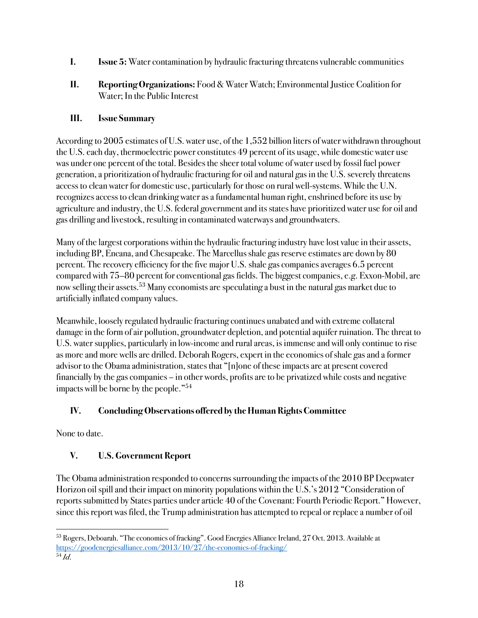- **I. Issue 5:** Water contamination by hydraulic fracturing threatens vulnerable communities
- **II. Reporting Organizations:** Food & Water Watch; Environmental Justice Coalition for Water; In the Public Interest

According to 2005 estimates of U.S. water use, of the 1,552 billion liters of water withdrawn throughout the U.S. each day, thermoelectric power constitutes 49 percent of its usage, while domestic water use was under one percent of the total. Besides the sheer total volume of water used by fossil fuel power generation, a prioritization of hydraulic fracturing for oil and natural gas in the U.S. severely threatens access to clean water for domestic use, particularly for those on rural well-systems. While the U.N. recognizes access to clean drinking water as a fundamental human right, enshrined before its use by agriculture and industry, the U.S. federal government and its states have prioritized water use for oil and gas drilling and livestock, resulting in contaminated waterways and groundwaters.

Many of the largest corporations within the hydraulic fracturing industry have lost value in their assets, including BP, Encana, and Chesapeake. The Marcellus shale gas reserve estimates are down by 80 percent. The recovery efficiency for the five major U.S. shale gas companiesaverages 6.5 percent compared with 75–80 percent for conventional gas fields. The biggest companies, e.g. Exxon-Mobil, are now selling their assets.53 Many economists are speculating a bust in the natural gas market due to artificially inflated company values.

Meanwhile, loosely regulated hydraulic fracturing continues unabated and with extreme collateral damage in the form of air pollution, groundwater depletion, and potential aquifer ruination. The threat to U.S. water supplies, particularly in low-income and rural areas, is immense and will only continue to rise as more and more wells are drilled. Deborah Rogers, expert in the economics of shale gas and a former advisor to the Obama administration, states that "[n]one of these impacts are at present covered financially by the gas companies – in other words, profits are to be privatized while costs and negative impacts will be borne by the people."54

### **IV. Concluding Observations offered by the Human Rights Committee**

None to date.

### **V. U.S. Government Report**

The Obama administration responded to concerns surrounding the impacts of the 2010 BP Deepwater Horizon oil spill and their impact on minority populations within the U.S.'s 2012 "Consideration of reports submitted by States parties under article 40 of the Covenant: Fourth Periodic Report." However, since this report was filed, the Trump administration has attempted to repeal or replace a number of oil

 $\overline{a}$ <sup>53</sup> Rogers, Deboarah. "The economics of fracking". Good Energies Alliance Ireland, 27 Oct. 2013. Available at https://goodenergiesalliance.com/2013/10/27/the-economics-of-fracking/ <sup>54</sup> *Id*.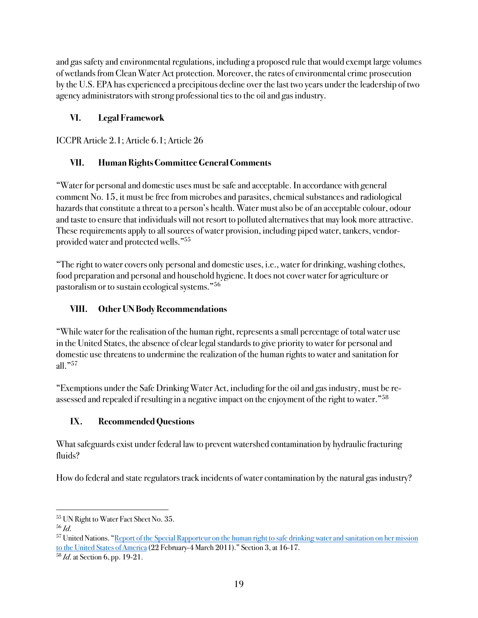and gas safety and environmental regulations, including a proposed rule that would exempt large volumes of wetlands from Clean Water Act protection. Moreover, the rates of environmental crime prosecution by the U.S. EPA has experienced a precipitous decline over the last two years under the leadership of two agency administrators with strong professional ties to the oil and gas industry.

### **VI. Legal Framework**

ICCPR Article 2.1; Article 6.1; Article 26

## **VII. Human Rights Committee General Comments**

"Water for personal and domestic uses must be safe and acceptable. In accordance with general comment No. 15, it must be free from microbes and parasites, chemical substances and radiological hazards that constitute a threat to a person's health. Water must also be of an acceptable colour, odour and taste to ensure that individuals will not resort to polluted alternatives that may look more attractive. These requirements apply to all sources of water provision, including piped water, tankers, vendorprovided water and protected wells."55

"The right to water covers only personal and domestic uses, i.e., water for drinking, washing clothes, food preparation and personal and household hygiene. It does not cover water for agriculture or pastoralism or to sustain ecological systems."56

### **VIII. Other UN Body Recommendations**

"While water for the realisation of the human right, represents a small percentage of total water use in the United States, the absence of clear legal standards to give priority to water for personal and domestic use threatens to undermine the realization of the human rights to water and sanitation for all."57

"Exemptions under the Safe Drinking Water Act, including for the oil and gas industry, must be reassessed and repealed if resulting in a negative impact on the enjoyment of the right to water."<sup>58</sup>

# **IX. Recommended Questions**

What safeguards exist under federal law to prevent watershed contamination by hydraulic fracturing fluids?

How do federal and state regulators track incidents of water contamination by the natural gas industry?

 $\overline{a}$ <sup>55</sup> UN Right to Water Fact Sheet No. 35.

<sup>56</sup> *Id*.

<sup>&</sup>lt;sup>57</sup> United Nations. "Report of the Special Rapporteur on the human right to safe drinking water and sanitation on her mission to the United States of America (22 February-4 March 2011)." Section 3, at 16-17.

<sup>58</sup> *Id*. at Section 6, pp. 19-21.